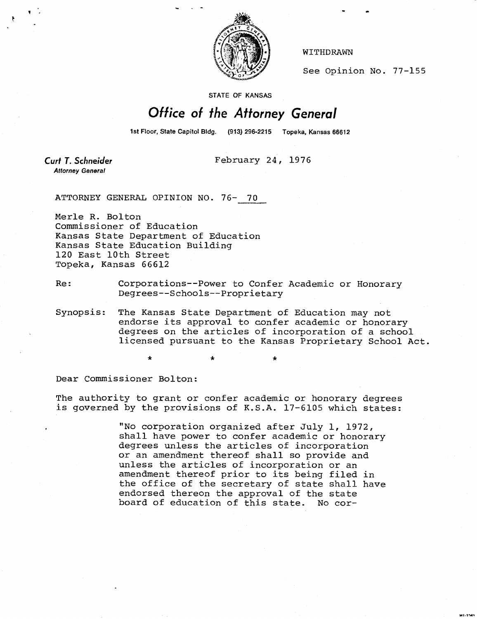

WITHDRAWN

See Opinion No. 77-155

STATE OF KANSAS

## Office of the Attorney General

1st Floor, State Capitol Bidg. (913) 296-2215 Topeka, Kansas 66612

**Curt T. Schneider Attorney General** 

February 24, 1976

ATTORNEY GENERAL OPINION NO. 76- 70

Merle R. Bolton Commissioner of Education Kansas State Department of Education Kansas State Education Building 120 East 10th Street Topeka, Kansas 66612

Re: Corporations--Power to Confer Academic or Honorary Degrees--Schools--Proprietary

Synopsis: The Kansas State Department of Education may not endorse its approval to confer academic or honorary degrees on the articles of incorporation of a school licensed pursuant to the Kansas Proprietary School Act.

Dear Commissioner Bolton:

The authority to grant or confer academic or honorary degrees is governed by the provisions of K.S.A. 17-6105 which states:

> "No corporation organized after July 1, 1972, shall have power to confer academic or honorary degrees unless the articles of incorporation or an amendment thereof shall so provide and unless the articles of incorporation or an amendment thereof prior to its being filed in the office of the secretary of state shall have endorsed thereon the approval of the state board of education of this state. No cor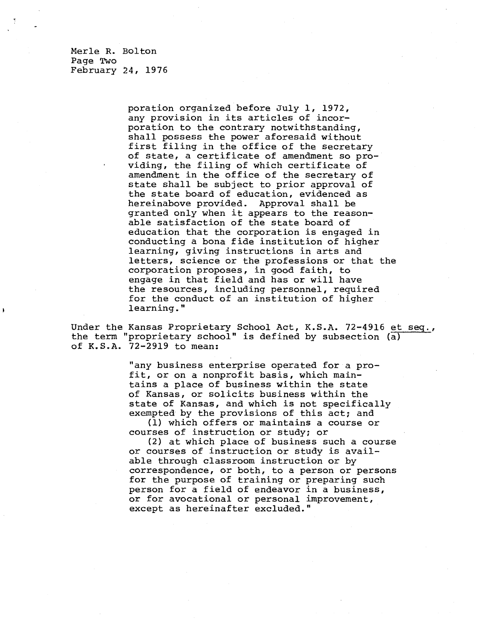Merle R. Bolton Page Two February 24, 1976

> poration organized before July 1, 1972, any provision in its articles of incorporation to the contrary notwithstanding, shall possess the power aforesaid without first filing in the office of the secretary of state, a certificate of amendment so providing, the filing of which certificate of amendment in the office of the secretary of state shall be subject to prior approval of the state board of education, evidenced as hereinabove provided. Approval shall be granted only when it appears to the reasonable satisfaction of the state board of education that the corporation is engaged in conducting a bona fide institution of higher learning, giving instructions in arts and letters, science or the professions or that the corporation proposes, in good faith, to engage in that field and has or will have the resources, including personnel, required for the conduct of an institution of higher learning."

Under the Kansas Proprietary School Act, K.S.A. 72-4916 et seq., the term "proprietary school" is defined by subsection  $\overline{a}$ ) of K.S.A. 72-2919 to mean:

> "any business enterprise operated for a profit, or on a nonprofit basis, which maintains a place of business within the state of Kansas, or solicits business within the state of Kansas, and which is not specifically exempted by the provisions of this act; and

(1) which offers or maintains a course or courses of instruction or study; or

(2) at which place of business such a course or courses of instruction or study is available through classroom instruction or by correspondence, or both, to a person or persons for the purpose of training or preparing such person for a field of endeavor in a business, or for avocational or personal improvement, except as hereinafter excluded."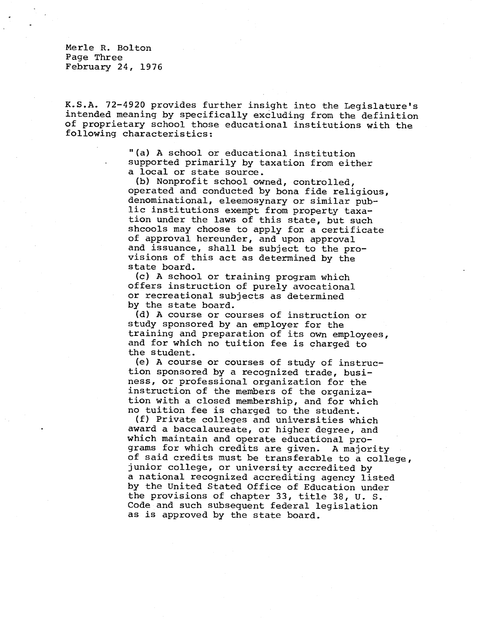Merle R. Bolton Page Three February 24, 1976

K.S.A. 72-4920 provides further insight into the Legislature's intended meaning by specifically excluding from the definition of proprietary school those educational institutions with the following characteristics:

> "(a) A school or educational institution supported primarily by taxation from either a local or state source.

(b) Nonprofit school owned, controlled, operated and conducted by bona fide religious, denominational, eleemosynary or similar public institutions exempt from property taxation under the laws of this state, but such shoools may choose to apply for a certificate of approval hereunder, and upon approval and issuance, shall be subject to the provisions of this act as determined by the state board.

(c) A school or training program which offers instruction of purely avocational or recreational subjects as determined by the state board.

(d) A course or courses of instruction or study sponsored by an employer for the training and preparation of its own employees, and for which no tuition fee is charged to the student.

(e) A course or courses of study of instruction sponsored by a recognized trade, business, or professional organization for the instruction of the members of the organization with a closed membership, and for which no tuition fee is charged to the student.

(f) Private colleges and universities which award a baccalaureate, or higher degree, and which maintain and operate educational programs for which credits are given. A majority of said credits must be transferable to a college, junior college, or university accredited by a national recognized accrediting agency listed by the United Stated Office of Education under the provisions of chapter 33, title 38, U. S. Code and such subsequent federal legislation as is approved by the state board.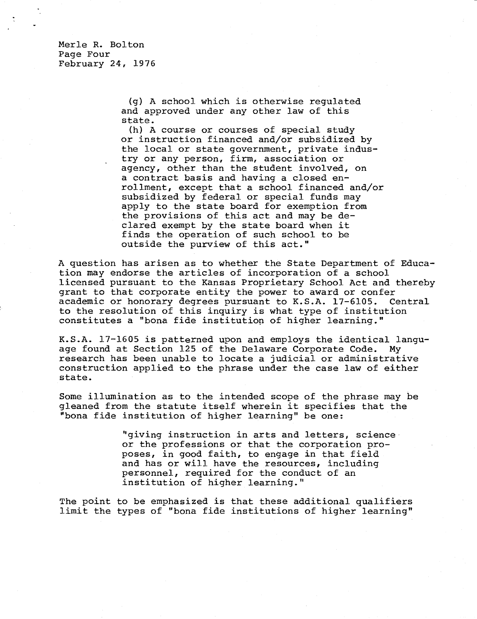Merle R. Bolton Page Four February 24, 1976

> (g) A school which is otherwise regulated and approved under any other law of this state.

(h) A course or courses of special study or instruction financed and/or subsidized by the local or state government, private industry or any person, firm, association or agency, other than the student involved, on a contract basis and having a closed enrollment, except that a school financed and/or subsidized by federal or special funds may apply to the state board for exemption from the provisions of this act and may be declared exempt by the state board when it finds the operation of such school to be outside the purview of this act."

A question has arisen as to whether the State Department of Education may endorse the articles of incorporation of a school licensed pursuant to the Kansas Proprietary School Act and thereby grant to that corporate entity the power to award or confer academic or honorary degrees pursuant to K.S.A. 17-6105. Central to the resolution of this inquiry is what type of institution constitutes a "bona fide institution of higher learning."

K.S.A. 17-1605 is patterned upon and employs the identical langu age found at Section 125 of the Delaware Corporate Code. My research has been unable to locate a judicial or administrative construction applied to the phrase under the case law of either state.

Some illumination as to the intended scope of the phrase may be gleaned from the statute itself wherein it specifies that the "bona fide institution of higher learning" be one:

> "giving instruction in arts and letters, science or the professions or that the corporation proposes, in good faith, to engage in that field and has or will have the resources, including personnel, required for the conduct of an institution of higher learning."

The point to be emphasized is that these additional qualifiers limit the types of "bona fide institutions of higher learning"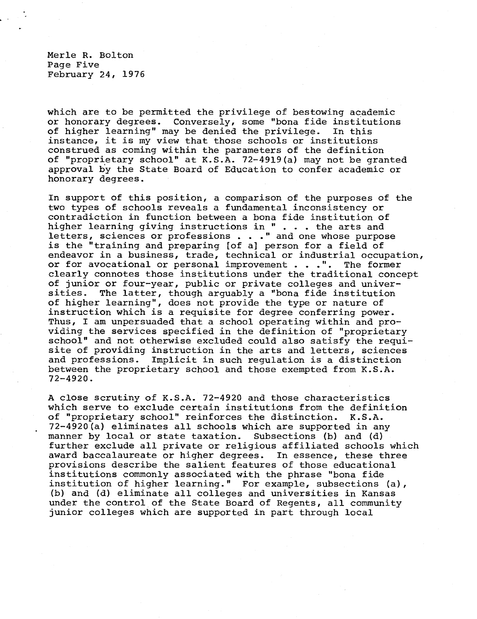Merle R. Bolton Page Five February 24, 1976

which are to be permitted the privilege of bestowing academic or honorary degrees. Conversely, some "bona fide institutions of higher learning" may be denied the privilege. In this instance, it is my view that those schools or institutions construed as coming within the parameters of the definition of "proprietary school" at K.S.A. 72-4919(a) may not be granted approval by the State Board of Education to confer academic or honorary degrees.

In support of this position, a comparison of the purposes of the two types of schools reveals a fundamental inconsistency or contradiction in function between a bona fide institution of higher learning giving instructions in " . . . the arts and letters, sciences or professions . . ." and one whose purpose is the "training and preparing [of a] person for a field of endeavor in a business, trade, technical or industrial occupation, or for avocational or personal improvement . . .". The former clearly connotes those institutions under the traditional concept of junior or four-year, public or private colleges and universities. The latter, though arguably a "bona fide institution of higher learning", does not provide the type or nature of instruction which is a requisite for degree conferring power. Thus, I am unpersuaded that a school operating within and providing the services specified in the definition of "proprietary school" and not otherwise excluded could also satisfy the requisite of providing instruction in the arts and letters, sciences and professions. Implicit in such regulation is a distinction between the proprietary school and those exempted from K.S.A. 72-4920.

A close scrutiny of K.S.A. 72-4920 and those characteristics which serve to exclude certain institutions from the definition of "proprietary school" reinforces the distinction. K.S.A. 72-4920(a) eliminates all schools which are supported in any manner by local or state taxation. Subsections (b) and (d) further exclude all private or religious affiliated schools which award baccalaureate or higher degrees. In essence, these three provisions describe the salient features of those educational institutions commonly associated with the phrase "bona fide institution of higher learning." For example, subsections (a), (b) and (d) eliminate all colleges and universities in Kansas under the control of the State Board of Regents, all community junior colleges which are supported in part through local